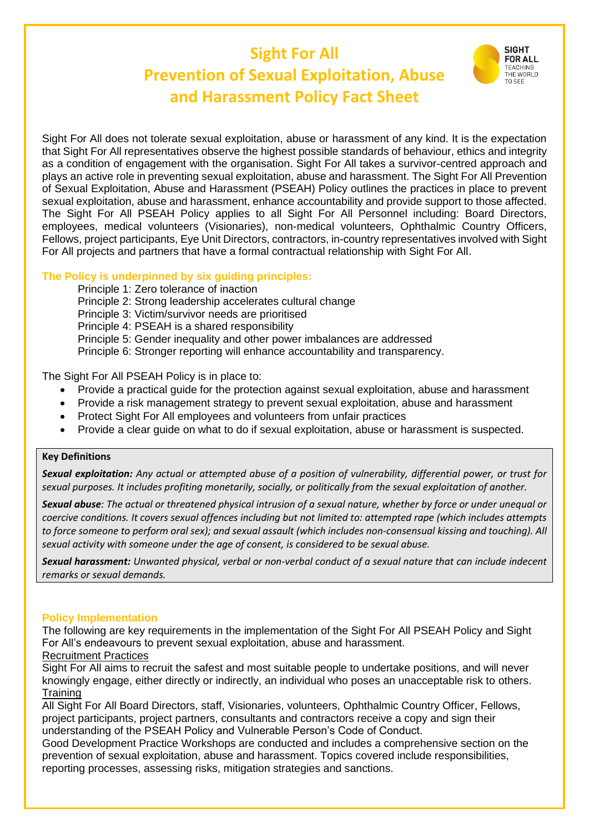# **Sight For All Prevention of Sexual Exploitation, Abuse and Harassment Policy Fact Sheet**



Sight For All does not tolerate sexual exploitation, abuse or harassment of any kind. It is the expectation that Sight For All representatives observe the highest possible standards of behaviour, ethics and integrity as a condition of engagement with the organisation. Sight For All takes a survivor-centred approach and plays an active role in preventing sexual exploitation, abuse and harassment. The Sight For All Prevention of Sexual Exploitation, Abuse and Harassment (PSEAH) Policy outlines the practices in place to prevent sexual exploitation, abuse and harassment, enhance accountability and provide support to those affected. The Sight For All PSEAH Policy applies to all Sight For All Personnel including: Board Directors, employees, medical volunteers (Visionaries), non-medical volunteers, Ophthalmic Country Officers, Fellows, project participants, Eye Unit Directors, contractors, in-country representatives involved with Sight For All projects and partners that have a formal contractual relationship with Sight For All.

#### **The Policy is underpinned by six guiding principles:**

Principle 1: Zero tolerance of inaction Principle 2: Strong leadership accelerates cultural change Principle 3: Victim/survivor needs are prioritised Principle 4: PSEAH is a shared responsibility Principle 5: Gender inequality and other power imbalances are addressed Principle 6: Stronger reporting will enhance accountability and transparency.

The Sight For All PSEAH Policy is in place to:

- Provide a practical guide for the protection against sexual exploitation, abuse and harassment
- Provide a risk management strategy to prevent sexual exploitation, abuse and harassment
- Protect Sight For All employees and volunteers from unfair practices
- Provide a clear guide on what to do if sexual exploitation, abuse or harassment is suspected.

#### **Key Definitions**

*Sexual exploitation: Any actual or attempted abuse of a position of vulnerability, differential power, or trust for sexual purposes. It includes profiting monetarily, socially, or politically from the sexual exploitation of another.*

*Sexual abuse: The actual or threatened physical intrusion of a sexual nature, whether by force or under unequal or coercive conditions. It covers sexual offences including but not limited to: attempted rape (which includes attempts to force someone to perform oral sex); and sexual assault (which includes non-consensual kissing and touching). All sexual activity with someone under the age of consent, is considered to be sexual abuse.* 

*Sexual harassment: Unwanted physical, verbal or non-verbal conduct of a sexual nature that can include indecent remarks or sexual demands.* 

#### **Policy Implementation**

The following are key requirements in the implementation of the Sight For All PSEAH Policy and Sight For All's endeavours to prevent sexual exploitation, abuse and harassment.

### Recruitment Practices

Sight For All aims to recruit the safest and most suitable people to undertake positions, and will never knowingly engage, either directly or indirectly, an individual who poses an unacceptable risk to others. **Training** 

All Sight For All Board Directors, staff, Visionaries, volunteers, Ophthalmic Country Officer, Fellows, project participants, project partners, consultants and contractors receive a copy and sign their understanding of the PSEAH Policy and Vulnerable Person's Code of Conduct.

Good Development Practice Workshops are conducted and includes a comprehensive section on the prevention of sexual exploitation, abuse and harassment. Topics covered include responsibilities, reporting processes, assessing risks, mitigation strategies and sanctions.